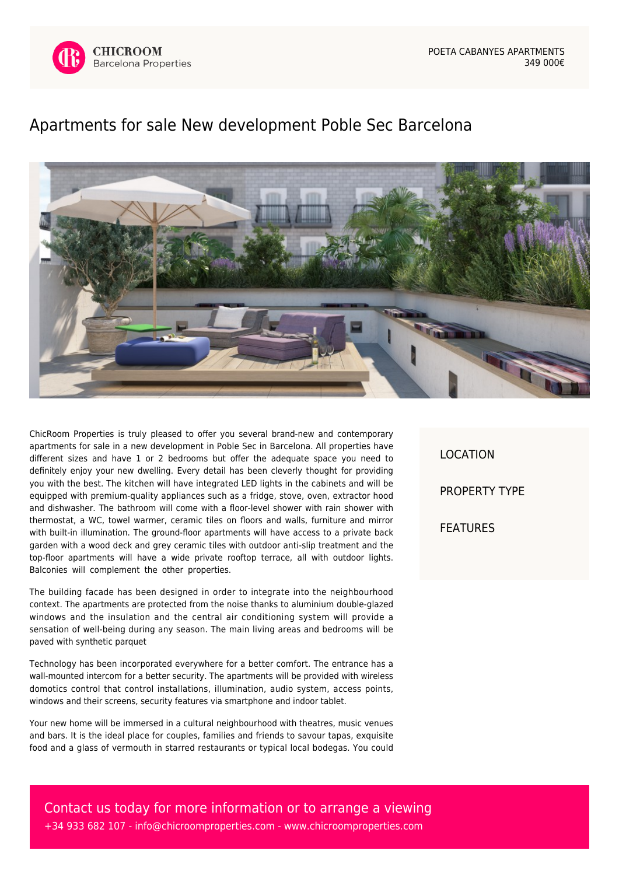

## [Apartments for sale New development Poble Sec Barcelona](https://www.chicroomproperties.com/en/property/627/apartments-for-sale-new-development-poble-sec-barcelona/)



ChicRoom Properties is truly pleased to offer you several brand-new and contemporary apartments for sale in a new development in Poble Sec in Barcelona. All properties have different sizes and have 1 or 2 bedrooms but offer the adequate space you need to definitely enjoy your new dwelling. Every detail has been cleverly thought for providing you with the best. The kitchen will have integrated LED lights in the cabinets and will be equipped with premium-quality appliances such as a fridge, stove, oven, extractor hood and dishwasher. The bathroom will come with a floor-level shower with rain shower with thermostat, a WC, towel warmer, ceramic tiles on floors and walls, furniture and mirror with built-in illumination. The ground-floor apartments will have access to a private back garden with a wood deck and grey ceramic tiles with outdoor anti-slip treatment and the top-floor apartments will have a wide private rooftop terrace, all with outdoor lights. Balconies will complement the other properties.

The building facade has been designed in order to integrate into the neighbourhood context. The apartments are protected from the noise thanks to aluminium double-glazed windows and the insulation and the central air conditioning system will provide a sensation of well-being during any season. The main living areas and bedrooms will be paved with synthetic parquet

Technology has been incorporated everywhere for a better comfort. The entrance has a wall-mounted intercom for a better security. The apartments will be provided with wireless domotics control that control installations, illumination, audio system, access points, windows and their screens, security features via smartphone and indoor tablet.

Your new home will be immersed in a cultural neighbourhood with theatres, music venues and bars. It is the ideal place for couples, families and friends to savour tapas, exquisite food and a glass of vermouth in starred restaurants or typical local bodegas. You could

LOCATION PROPERTY TYPE FEATURES

Contact us today for more information or to arrange a viewing +34 933 682 107 - [info@chicroomproperties.com](mailto:info@chicroomproperties.com) - [www.chicroomproperties.com](http://www.chicroomproperties.com)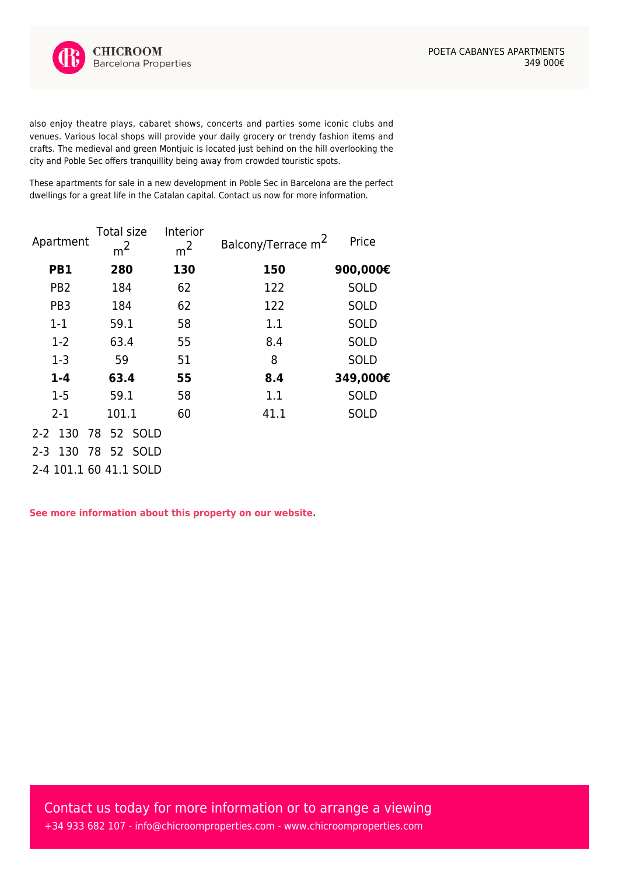also enjoy theatre plays, cabaret shows, concerts and parties some iconic clubs and venues. Various local shops will provide your daily grocery or trendy fashion items and crafts. The medieval and green Montjuic is located just behind on the hill overlooking the city and Poble Sec offers tranquillity being away from crowded touristic spots.

These apartments for sale in a new development in Poble Sec in Barcelona are the perfect dwellings for a great life in the Catalan capital. Contact us now for more information.

| Apartment       | Total size<br>m <sup>2</sup> | Interior<br>m <sup>2</sup> | Balcony/Terrace m <sup>2</sup> | Price       |
|-----------------|------------------------------|----------------------------|--------------------------------|-------------|
| PB1             | 280                          | 130                        | 150                            | 900,000€    |
| PB <sub>2</sub> | 184                          | 62                         | 122                            | <b>SOLD</b> |
| PB <sub>3</sub> | 184                          | 62                         | 122                            | <b>SOLD</b> |
| $1 - 1$         | 59.1                         | 58                         | 1.1                            | <b>SOLD</b> |
| $1 - 2$         | 63.4                         | 55                         | 8.4                            | <b>SOLD</b> |
| $1-3$           | 59                           | 51                         | 8                              | <b>SOLD</b> |
| $1 - 4$         | 63.4                         | 55                         | 8.4                            | 349,000€    |
| $1 - 5$         | 59.1                         | 58                         | 1.1                            | <b>SOLD</b> |
| $2 - 1$         | 101.1                        | 60                         | 41.1                           | <b>SOLD</b> |
| $2-2$ 130       | 78 52 SOLD                   |                            |                                |             |
| 130<br>$2 - 3$  | 78<br>52 SOLD                |                            |                                |             |
|                 | 2-4 101.1 60 41.1 SOLD       |                            |                                |             |

**[See more information about this property on our website.](https://www.chicroomproperties.com/en/property/627/apartments-for-sale-new-development-poble-sec-barcelona/)**